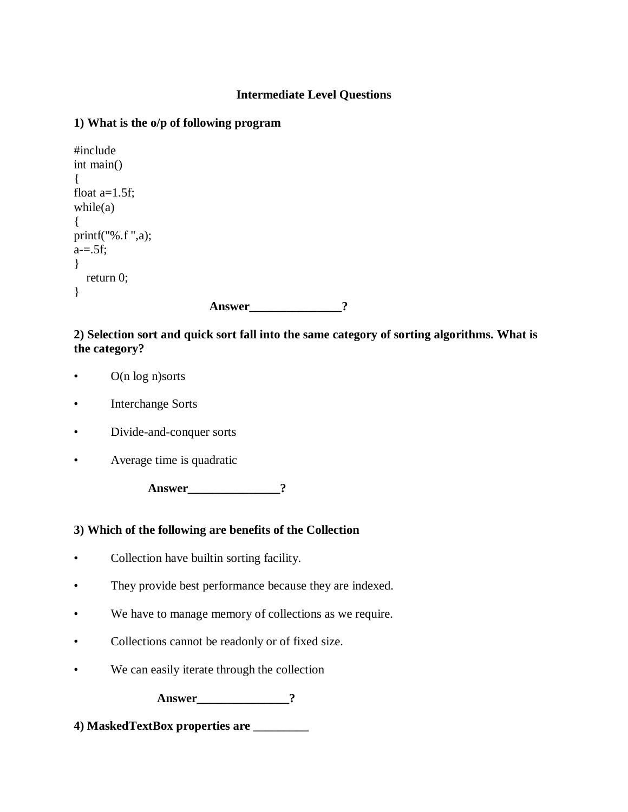### **Intermediate Level Questions**

### **1) What is the o/p of following program**

```
#include
int main()
{
float a=1.5f;
while(a){
printf("%.f ",a);
a = .5f;}
   return 0; 
} 
                            Answer_______________?
```
#### **2) Selection sort and quick sort fall into the same category of sorting algorithms. What is the category?**

- O(n log n)sorts
- Interchange Sorts
- Divide-and-conquer sorts
- Average time is quadratic

**Answer** 2

### **3) Which of the following are benefits of the Collection**

- Collection have builtin sorting facility.
- They provide best performance because they are indexed.
- We have to manage memory of collections as we require.
- Collections cannot be readonly or of fixed size.
- We can easily iterate through the collection

**Answer\_\_\_\_\_\_\_\_\_\_\_\_\_\_\_?**

**4) MaskedTextBox properties are \_\_\_\_\_\_\_\_\_**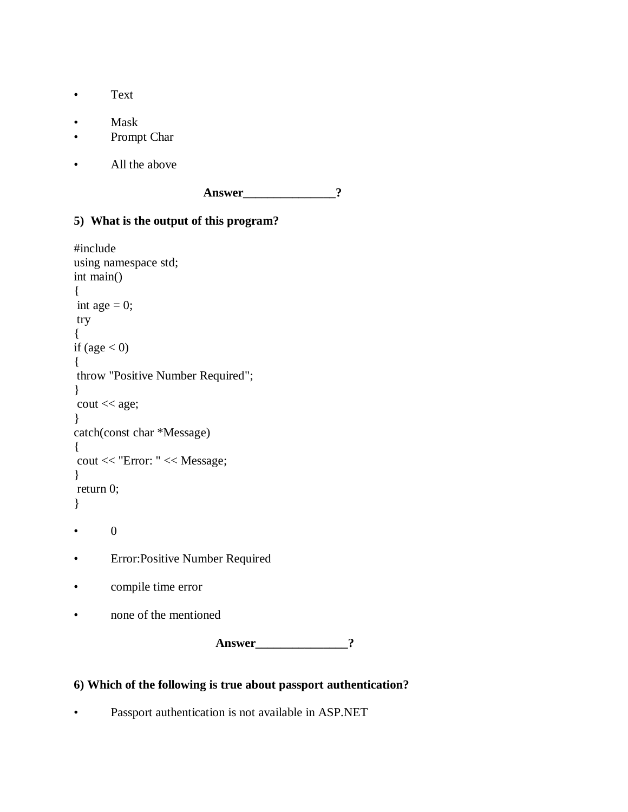- Text
- Mask
- Prompt Char
- All the above

Answer ?

### **5) What is the output of this program?**

```
#include 
using namespace std;
int main()
{
int age = 0;
try
{
if \text{(age} < 0){
throw "Positive Number Required";
}
cout << age;
}
catch(const char *Message)
{
cout << "Error: " << Message;
}
return 0;
} 
       • 0
• Error:Positive Number Required
• compile time error
• none of the mentioned
```
**Answer** 2

### **6) Which of the following is true about passport authentication?**

• Passport authentication is not available in ASP.NET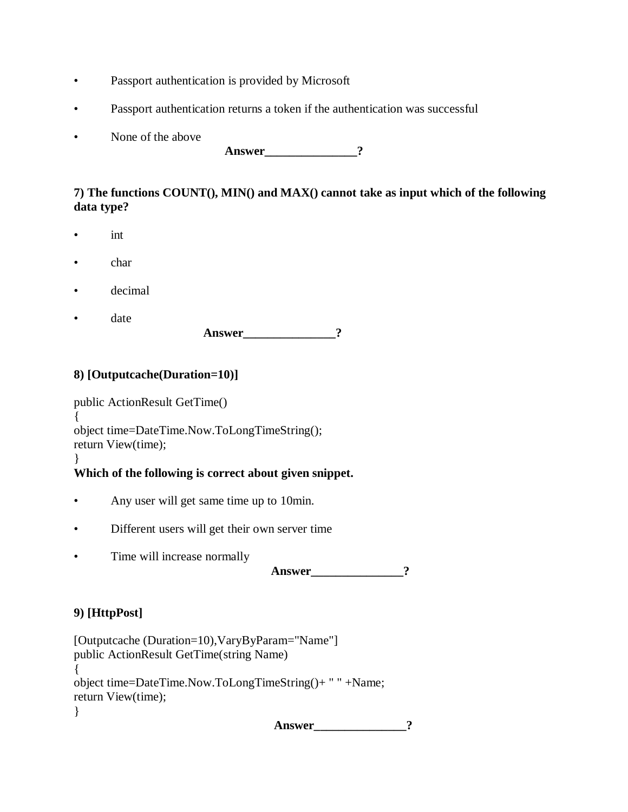- Passport authentication is provided by Microsoft
- Passport authentication returns a token if the authentication was successful
- None of the above

**Answer\_\_\_\_\_\_\_\_\_\_\_\_\_\_\_?**

#### **7) The functions COUNT(), MIN() and MAX() cannot take as input which of the following data type?**

- int
- char
- decimal
- date

**Answer** 2

### **8) [Outputcache(Duration=10)]**

public ActionResult GetTime() { object time=DateTime.Now.ToLongTimeString(); return View(time); }

### **Which of the following is correct about given snippet.**

- Any user will get same time up to 10min.
- Different users will get their own server time
- Time will increase normally

Answer ?

# **9) [HttpPost]**

[Outputcache (Duration=10),VaryByParam="Name"] public ActionResult GetTime(string Name) { object time=DateTime.Now.ToLongTimeString()+ " " +Name; return View(time); }

**Answer\_\_\_\_\_\_\_\_\_\_\_\_\_\_\_?**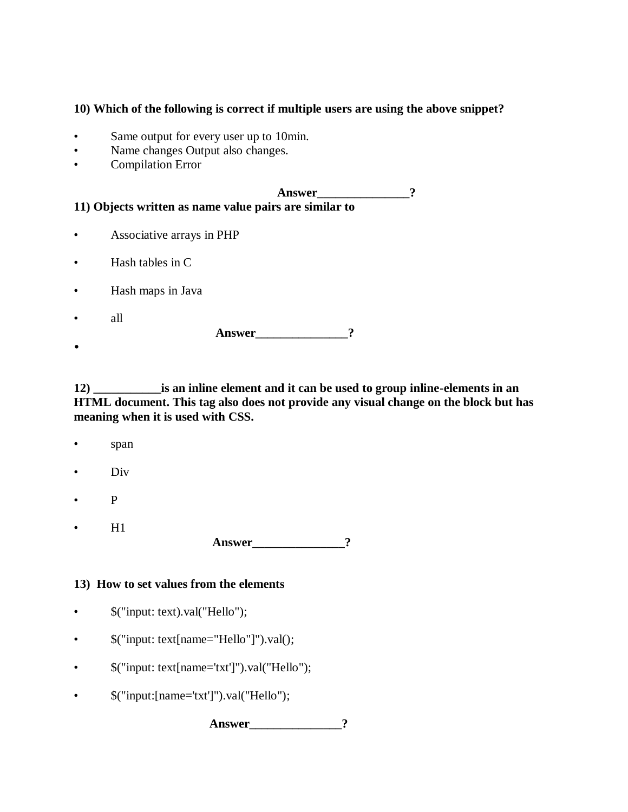#### **10) Which of the following is correct if multiple users are using the above snippet?**

- Same output for every user up to 10min.
- Name changes Output also changes.
- Compilation Error

Answer ? **11) Objects written as name value pairs are similar to** • Associative arrays in PHP

- Hash tables in C
- Hash maps in Java
- all

**Answer\_\_\_\_\_\_\_\_\_\_\_\_\_\_\_?**

•

**12) \_\_\_\_\_\_\_\_\_\_\_is an inline element and it can be used to group inline-elements in an HTML document. This tag also does not provide any visual change on the block but has meaning when it is used with CSS.** 

- span
- Div
- P
- H1

**Answer** 2

#### **13) How to set values from the elements**

- \$("input: text).val("Hello");
- $\qquad \quad \text{\$("input: text[name="Hello"]").val();}$
- \$("input: text[name='txt']").val("Hello");
- $\text{\$("input:}[name='txt']").val("Hello");$

Answer 2